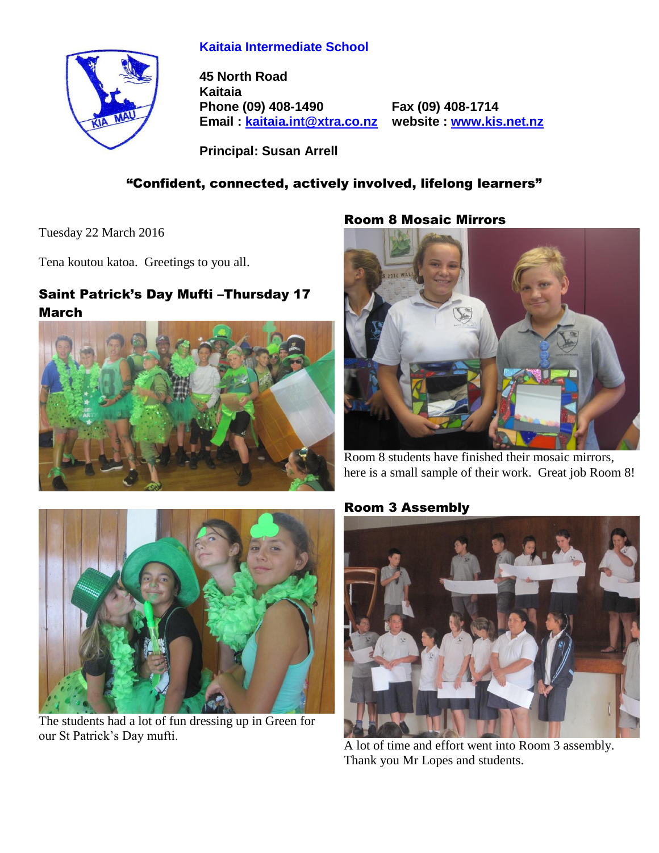#### **Kaitaia Intermediate School**

**45 North Road Kaitaia Phone (09) 408-1490 Fax (09) 408-1714 Email : [kaitaia.int@xtra.co.nz](mailto:kaitaia.int@xtra.co.nz) website : [www.kis.net.nz](file:///C:/Documents%20and%20Settings/Principal/Desktop/Kelvin%201/Letterhead%20-%20Kelvin/www.kis.net.nz)**

**Principal: Susan Arrell**

# "Confident, connected, actively involved, lifelong learners"

Tuesday 22 March 2016

Tena koutou katoa. Greetings to you all.

# Saint Patrick's Day Mufti –Thursday 17 March



#### Room 8 Mosaic Mirrors



Room 8 students have finished their mosaic mirrors, here is a small sample of their work. Great job Room 8!



The students had a lot of fun dressing up in Green for our St Patrick's Day mufti.

# Room 3 Assembly



A lot of time and effort went into Room 3 assembly. Thank you Mr Lopes and students.